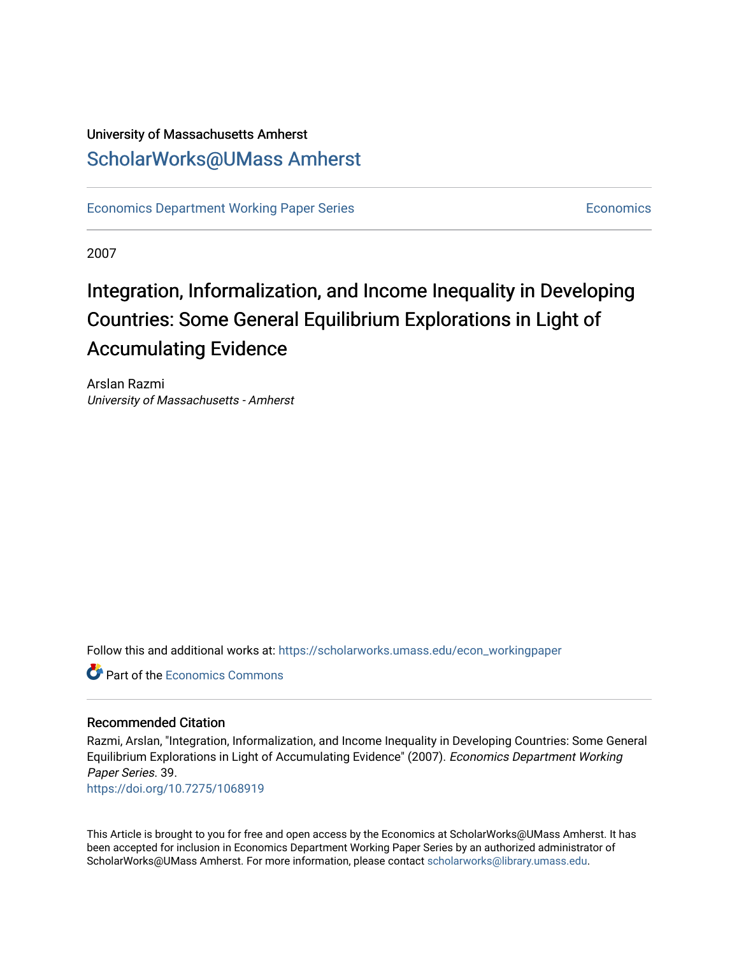### University of Massachusetts Amherst [ScholarWorks@UMass Amherst](https://scholarworks.umass.edu/)

[Economics Department Working Paper Series](https://scholarworks.umass.edu/econ_workingpaper) **Economics** [Economics](https://scholarworks.umass.edu/economics) Economics

2007

## Integration, Informalization, and Income Inequality in Developing Countries: Some General Equilibrium Explorations in Light of Accumulating Evidence

Arslan Razmi University of Massachusetts - Amherst

Follow this and additional works at: [https://scholarworks.umass.edu/econ\\_workingpaper](https://scholarworks.umass.edu/econ_workingpaper?utm_source=scholarworks.umass.edu%2Fecon_workingpaper%2F39&utm_medium=PDF&utm_campaign=PDFCoverPages) 

**C** Part of the [Economics Commons](http://network.bepress.com/hgg/discipline/340?utm_source=scholarworks.umass.edu%2Fecon_workingpaper%2F39&utm_medium=PDF&utm_campaign=PDFCoverPages)

#### Recommended Citation

Razmi, Arslan, "Integration, Informalization, and Income Inequality in Developing Countries: Some General Equilibrium Explorations in Light of Accumulating Evidence" (2007). Economics Department Working Paper Series. 39.

<https://doi.org/10.7275/1068919>

This Article is brought to you for free and open access by the Economics at ScholarWorks@UMass Amherst. It has been accepted for inclusion in Economics Department Working Paper Series by an authorized administrator of ScholarWorks@UMass Amherst. For more information, please contact [scholarworks@library.umass.edu.](mailto:scholarworks@library.umass.edu)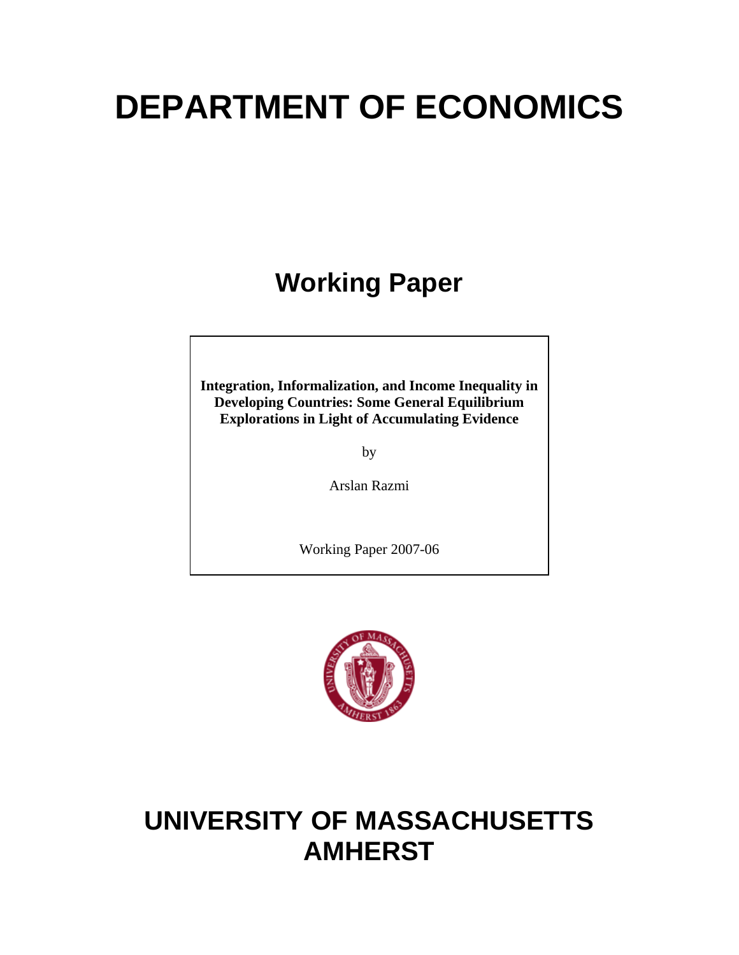# **DEPARTMENT OF ECONOMICS**

## **Working Paper**

**Integration, Informalization, and Income Inequality in Developing Countries: Some General Equilibrium Explorations in Light of Accumulating Evidence**

by

Arslan Razmi

Working Paper 2007-06



## **UNIVERSITY OF MASSACHUSETTS AMHERST**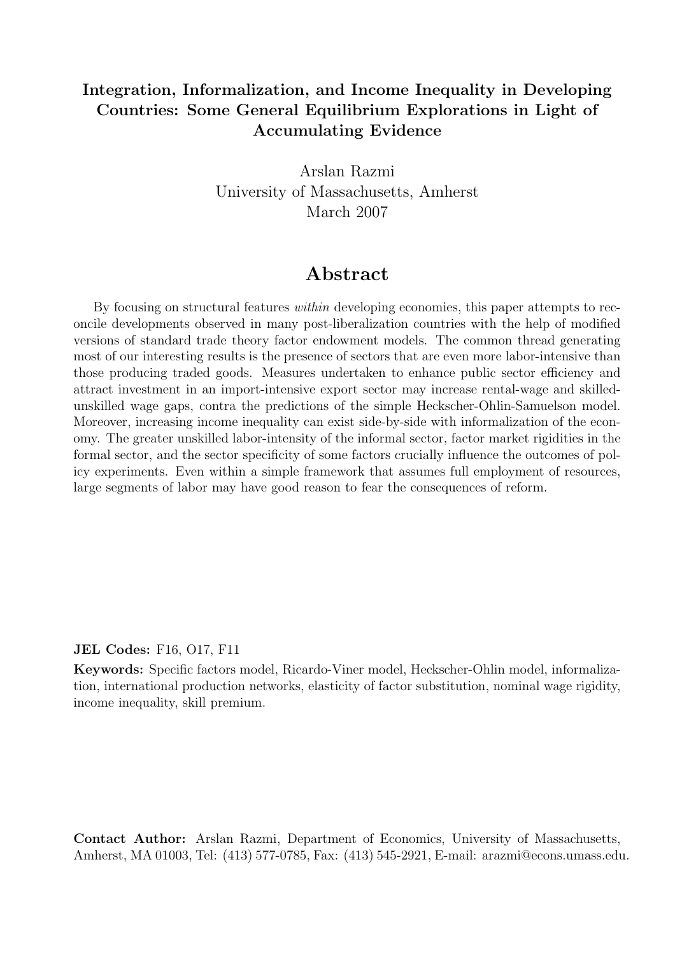#### Integration, Informalization, and Income Inequality in Developing Countries: Some General Equilibrium Explorations in Light of Accumulating Evidence

Arslan Razmi University of Massachusetts, Amherst March 2007

## Abstract

By focusing on structural features within developing economies, this paper attempts to reconcile developments observed in many post-liberalization countries with the help of modified versions of standard trade theory factor endowment models. The common thread generating most of our interesting results is the presence of sectors that are even more labor-intensive than those producing traded goods. Measures undertaken to enhance public sector efficiency and attract investment in an import-intensive export sector may increase rental-wage and skilledunskilled wage gaps, contra the predictions of the simple Heckscher-Ohlin-Samuelson model. Moreover, increasing income inequality can exist side-by-side with informalization of the economy. The greater unskilled labor-intensity of the informal sector, factor market rigidities in the formal sector, and the sector specificity of some factors crucially influence the outcomes of policy experiments. Even within a simple framework that assumes full employment of resources, large segments of labor may have good reason to fear the consequences of reform.

#### JEL Codes: F16, O17, F11

Keywords: Specific factors model, Ricardo-Viner model, Heckscher-Ohlin model, informalization, international production networks, elasticity of factor substitution, nominal wage rigidity, income inequality, skill premium.

Contact Author: Arslan Razmi, Department of Economics, University of Massachusetts, Amherst, MA 01003, Tel: (413) 577-0785, Fax: (413) 545-2921, E-mail: arazmi@econs.umass.edu.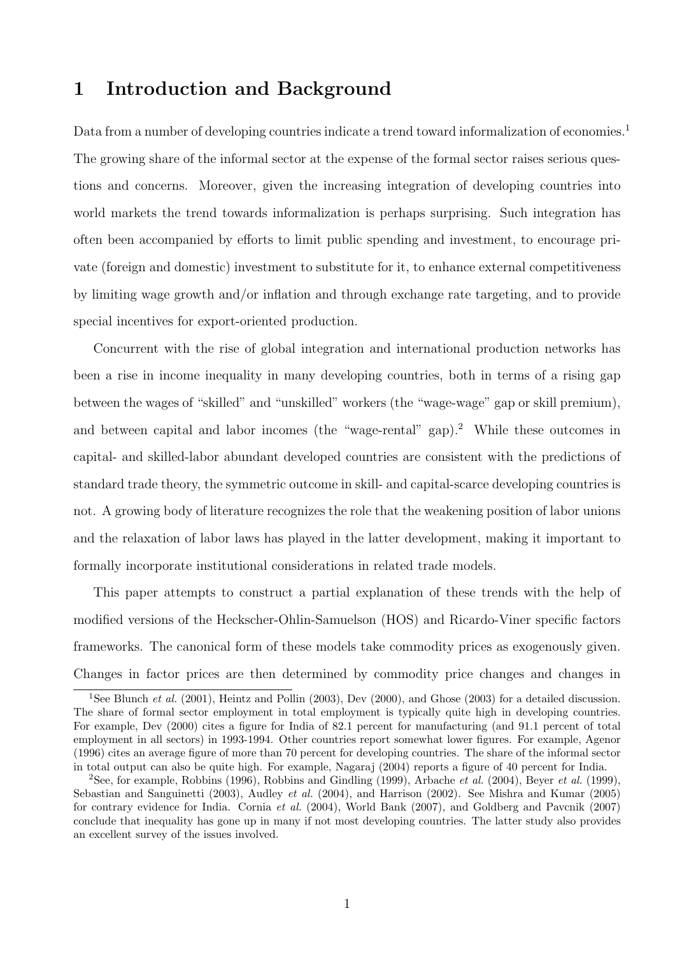### 1 Introduction and Background

Data from a number of developing countries indicate a trend toward informalization of economies.<sup>1</sup> The growing share of the informal sector at the expense of the formal sector raises serious questions and concerns. Moreover, given the increasing integration of developing countries into world markets the trend towards informalization is perhaps surprising. Such integration has often been accompanied by efforts to limit public spending and investment, to encourage private (foreign and domestic) investment to substitute for it, to enhance external competitiveness by limiting wage growth and/or inflation and through exchange rate targeting, and to provide special incentives for export-oriented production.

Concurrent with the rise of global integration and international production networks has been a rise in income inequality in many developing countries, both in terms of a rising gap between the wages of "skilled" and "unskilled" workers (the "wage-wage" gap or skill premium), and between capital and labor incomes (the "wage-rental" gap).<sup>2</sup> While these outcomes in capital- and skilled-labor abundant developed countries are consistent with the predictions of standard trade theory, the symmetric outcome in skill- and capital-scarce developing countries is not. A growing body of literature recognizes the role that the weakening position of labor unions and the relaxation of labor laws has played in the latter development, making it important to formally incorporate institutional considerations in related trade models.

This paper attempts to construct a partial explanation of these trends with the help of modified versions of the Heckscher-Ohlin-Samuelson (HOS) and Ricardo-Viner specific factors frameworks. The canonical form of these models take commodity prices as exogenously given. Changes in factor prices are then determined by commodity price changes and changes in

<sup>&</sup>lt;sup>1</sup>See Blunch *et al.* (2001), Heintz and Pollin (2003), Dev (2000), and Ghose (2003) for a detailed discussion. The share of formal sector employment in total employment is typically quite high in developing countries. For example, Dev (2000) cites a figure for India of 82.1 percent for manufacturing (and 91.1 percent of total employment in all sectors) in 1993-1994. Other countries report somewhat lower figures. For example, Agenor (1996) cites an average figure of more than 70 percent for developing countries. The share of the informal sector in total output can also be quite high. For example, Nagaraj (2004) reports a figure of 40 percent for India.

<sup>&</sup>lt;sup>2</sup>See, for example, Robbins (1996), Robbins and Gindling (1999), Arbache *et al.* (2004), Beyer *et al.* (1999), Sebastian and Sanguinetti (2003), Audley et al. (2004), and Harrison (2002). See Mishra and Kumar (2005) for contrary evidence for India. Cornia et al. (2004), World Bank (2007), and Goldberg and Pavcnik (2007) conclude that inequality has gone up in many if not most developing countries. The latter study also provides an excellent survey of the issues involved.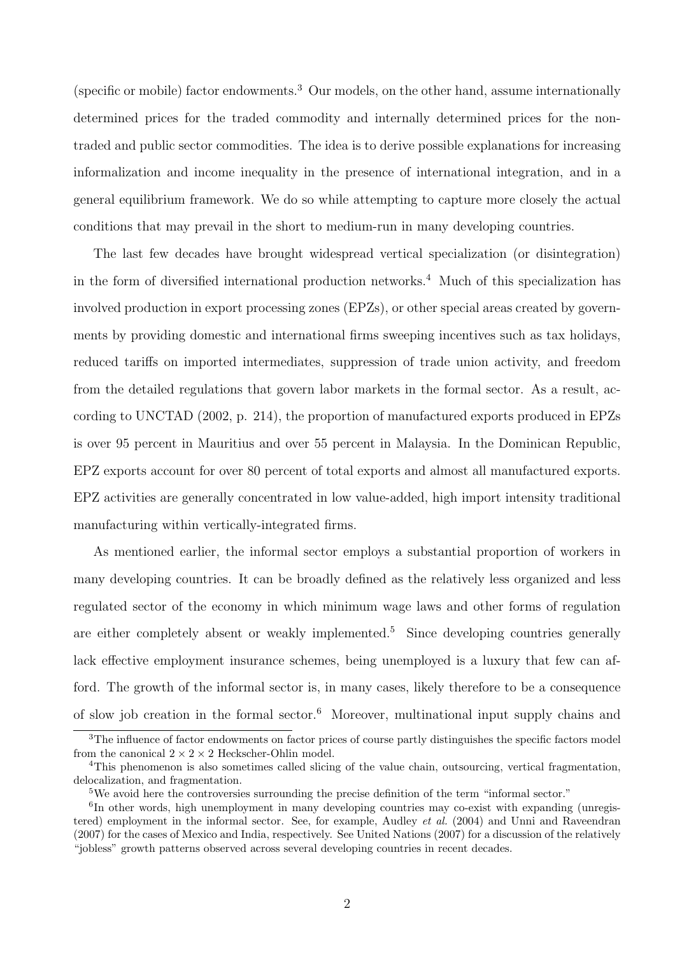(specific or mobile) factor endowments.<sup>3</sup> Our models, on the other hand, assume internationally determined prices for the traded commodity and internally determined prices for the nontraded and public sector commodities. The idea is to derive possible explanations for increasing informalization and income inequality in the presence of international integration, and in a general equilibrium framework. We do so while attempting to capture more closely the actual conditions that may prevail in the short to medium-run in many developing countries.

The last few decades have brought widespread vertical specialization (or disintegration) in the form of diversified international production networks.<sup>4</sup> Much of this specialization has involved production in export processing zones (EPZs), or other special areas created by governments by providing domestic and international firms sweeping incentives such as tax holidays, reduced tariffs on imported intermediates, suppression of trade union activity, and freedom from the detailed regulations that govern labor markets in the formal sector. As a result, according to UNCTAD (2002, p. 214), the proportion of manufactured exports produced in EPZs is over 95 percent in Mauritius and over 55 percent in Malaysia. In the Dominican Republic, EPZ exports account for over 80 percent of total exports and almost all manufactured exports. EPZ activities are generally concentrated in low value-added, high import intensity traditional manufacturing within vertically-integrated firms.

As mentioned earlier, the informal sector employs a substantial proportion of workers in many developing countries. It can be broadly defined as the relatively less organized and less regulated sector of the economy in which minimum wage laws and other forms of regulation are either completely absent or weakly implemented.<sup>5</sup> Since developing countries generally lack effective employment insurance schemes, being unemployed is a luxury that few can afford. The growth of the informal sector is, in many cases, likely therefore to be a consequence of slow job creation in the formal sector.<sup>6</sup> Moreover, multinational input supply chains and

<sup>&</sup>lt;sup>3</sup>The influence of factor endowments on factor prices of course partly distinguishes the specific factors model from the canonical  $2 \times 2 \times 2$  Heckscher-Ohlin model.

<sup>4</sup>This phenomenon is also sometimes called slicing of the value chain, outsourcing, vertical fragmentation, delocalization, and fragmentation.

<sup>&</sup>lt;sup>5</sup>We avoid here the controversies surrounding the precise definition of the term "informal sector."

<sup>&</sup>lt;sup>6</sup>In other words, high unemployment in many developing countries may co-exist with expanding (unregistered) employment in the informal sector. See, for example, Audley *et al.* (2004) and Unni and Raveendran (2007) for the cases of Mexico and India, respectively. See United Nations (2007) for a discussion of the relatively "jobless" growth patterns observed across several developing countries in recent decades.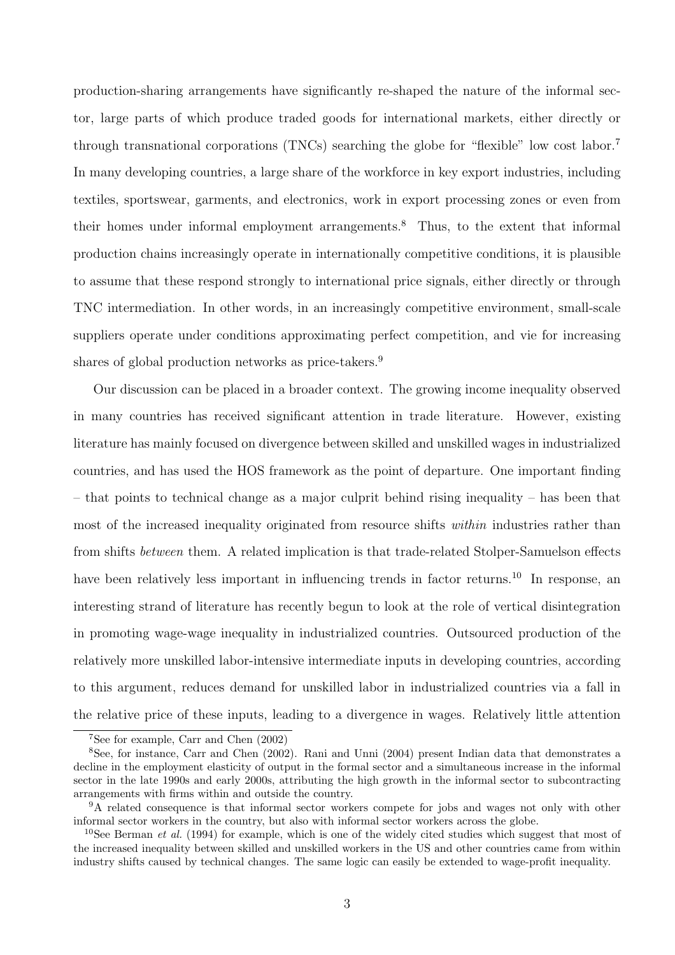production-sharing arrangements have significantly re-shaped the nature of the informal sector, large parts of which produce traded goods for international markets, either directly or through transnational corporations (TNCs) searching the globe for "flexible" low cost labor.<sup>7</sup> In many developing countries, a large share of the workforce in key export industries, including textiles, sportswear, garments, and electronics, work in export processing zones or even from their homes under informal employment arrangements.<sup>8</sup> Thus, to the extent that informal production chains increasingly operate in internationally competitive conditions, it is plausible to assume that these respond strongly to international price signals, either directly or through TNC intermediation. In other words, in an increasingly competitive environment, small-scale suppliers operate under conditions approximating perfect competition, and vie for increasing shares of global production networks as price-takers.<sup>9</sup>

Our discussion can be placed in a broader context. The growing income inequality observed in many countries has received significant attention in trade literature. However, existing literature has mainly focused on divergence between skilled and unskilled wages in industrialized countries, and has used the HOS framework as the point of departure. One important finding – that points to technical change as a major culprit behind rising inequality – has been that most of the increased inequality originated from resource shifts *within* industries rather than from shifts between them. A related implication is that trade-related Stolper-Samuelson effects have been relatively less important in influencing trends in factor returns.<sup>10</sup> In response, an interesting strand of literature has recently begun to look at the role of vertical disintegration in promoting wage-wage inequality in industrialized countries. Outsourced production of the relatively more unskilled labor-intensive intermediate inputs in developing countries, according to this argument, reduces demand for unskilled labor in industrialized countries via a fall in the relative price of these inputs, leading to a divergence in wages. Relatively little attention

<sup>7</sup>See for example, Carr and Chen (2002)

<sup>8</sup>See, for instance, Carr and Chen (2002). Rani and Unni (2004) present Indian data that demonstrates a decline in the employment elasticity of output in the formal sector and a simultaneous increase in the informal sector in the late 1990s and early 2000s, attributing the high growth in the informal sector to subcontracting arrangements with firms within and outside the country.

<sup>&</sup>lt;sup>9</sup>A related consequence is that informal sector workers compete for jobs and wages not only with other informal sector workers in the country, but also with informal sector workers across the globe.

<sup>&</sup>lt;sup>10</sup>See Berman *et al.* (1994) for example, which is one of the widely cited studies which suggest that most of the increased inequality between skilled and unskilled workers in the US and other countries came from within industry shifts caused by technical changes. The same logic can easily be extended to wage-profit inequality.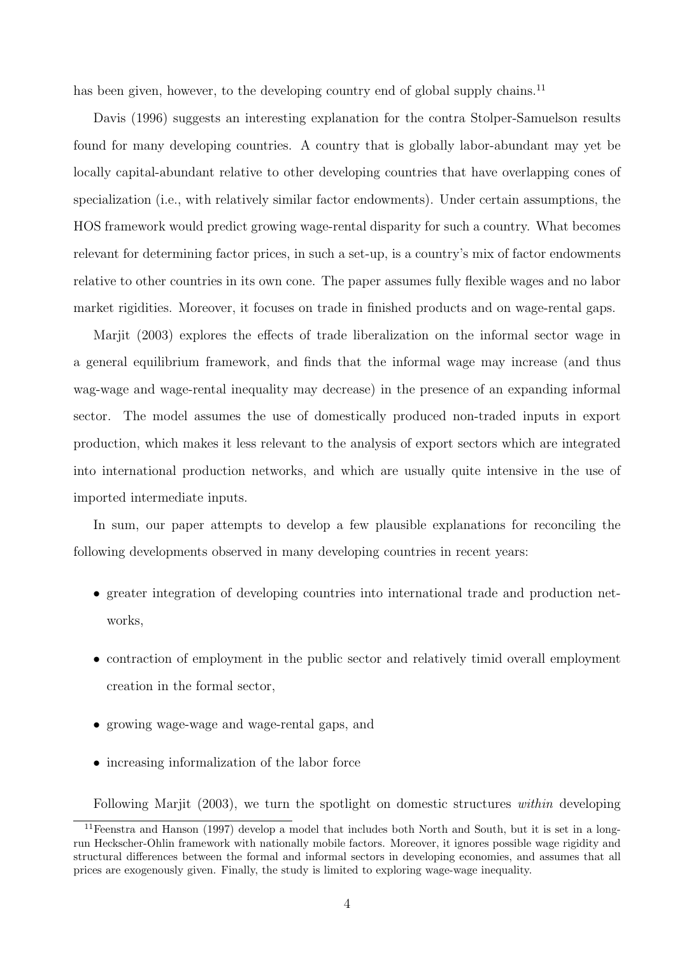has been given, however, to the developing country end of global supply chains.<sup>11</sup>

Davis (1996) suggests an interesting explanation for the contra Stolper-Samuelson results found for many developing countries. A country that is globally labor-abundant may yet be locally capital-abundant relative to other developing countries that have overlapping cones of specialization (i.e., with relatively similar factor endowments). Under certain assumptions, the HOS framework would predict growing wage-rental disparity for such a country. What becomes relevant for determining factor prices, in such a set-up, is a country's mix of factor endowments relative to other countries in its own cone. The paper assumes fully flexible wages and no labor market rigidities. Moreover, it focuses on trade in finished products and on wage-rental gaps.

Marjit (2003) explores the effects of trade liberalization on the informal sector wage in a general equilibrium framework, and finds that the informal wage may increase (and thus wag-wage and wage-rental inequality may decrease) in the presence of an expanding informal sector. The model assumes the use of domestically produced non-traded inputs in export production, which makes it less relevant to the analysis of export sectors which are integrated into international production networks, and which are usually quite intensive in the use of imported intermediate inputs.

In sum, our paper attempts to develop a few plausible explanations for reconciling the following developments observed in many developing countries in recent years:

- greater integration of developing countries into international trade and production networks,
- contraction of employment in the public sector and relatively timid overall employment creation in the formal sector,
- growing wage-wage and wage-rental gaps, and
- increasing informalization of the labor force

Following Marjit (2003), we turn the spotlight on domestic structures within developing

<sup>11</sup>Feenstra and Hanson (1997) develop a model that includes both North and South, but it is set in a longrun Heckscher-Ohlin framework with nationally mobile factors. Moreover, it ignores possible wage rigidity and structural differences between the formal and informal sectors in developing economies, and assumes that all prices are exogenously given. Finally, the study is limited to exploring wage-wage inequality.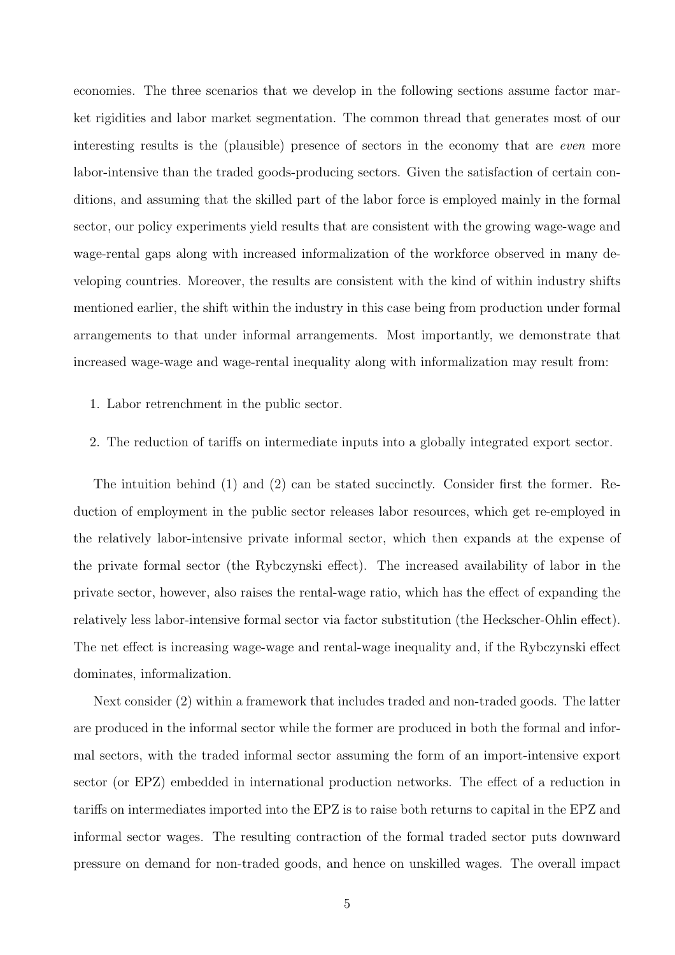economies. The three scenarios that we develop in the following sections assume factor market rigidities and labor market segmentation. The common thread that generates most of our interesting results is the (plausible) presence of sectors in the economy that are even more labor-intensive than the traded goods-producing sectors. Given the satisfaction of certain conditions, and assuming that the skilled part of the labor force is employed mainly in the formal sector, our policy experiments yield results that are consistent with the growing wage-wage and wage-rental gaps along with increased informalization of the workforce observed in many developing countries. Moreover, the results are consistent with the kind of within industry shifts mentioned earlier, the shift within the industry in this case being from production under formal arrangements to that under informal arrangements. Most importantly, we demonstrate that increased wage-wage and wage-rental inequality along with informalization may result from:

- 1. Labor retrenchment in the public sector.
- 2. The reduction of tariffs on intermediate inputs into a globally integrated export sector.

The intuition behind (1) and (2) can be stated succinctly. Consider first the former. Reduction of employment in the public sector releases labor resources, which get re-employed in the relatively labor-intensive private informal sector, which then expands at the expense of the private formal sector (the Rybczynski effect). The increased availability of labor in the private sector, however, also raises the rental-wage ratio, which has the effect of expanding the relatively less labor-intensive formal sector via factor substitution (the Heckscher-Ohlin effect). The net effect is increasing wage-wage and rental-wage inequality and, if the Rybczynski effect dominates, informalization.

Next consider (2) within a framework that includes traded and non-traded goods. The latter are produced in the informal sector while the former are produced in both the formal and informal sectors, with the traded informal sector assuming the form of an import-intensive export sector (or EPZ) embedded in international production networks. The effect of a reduction in tariffs on intermediates imported into the EPZ is to raise both returns to capital in the EPZ and informal sector wages. The resulting contraction of the formal traded sector puts downward pressure on demand for non-traded goods, and hence on unskilled wages. The overall impact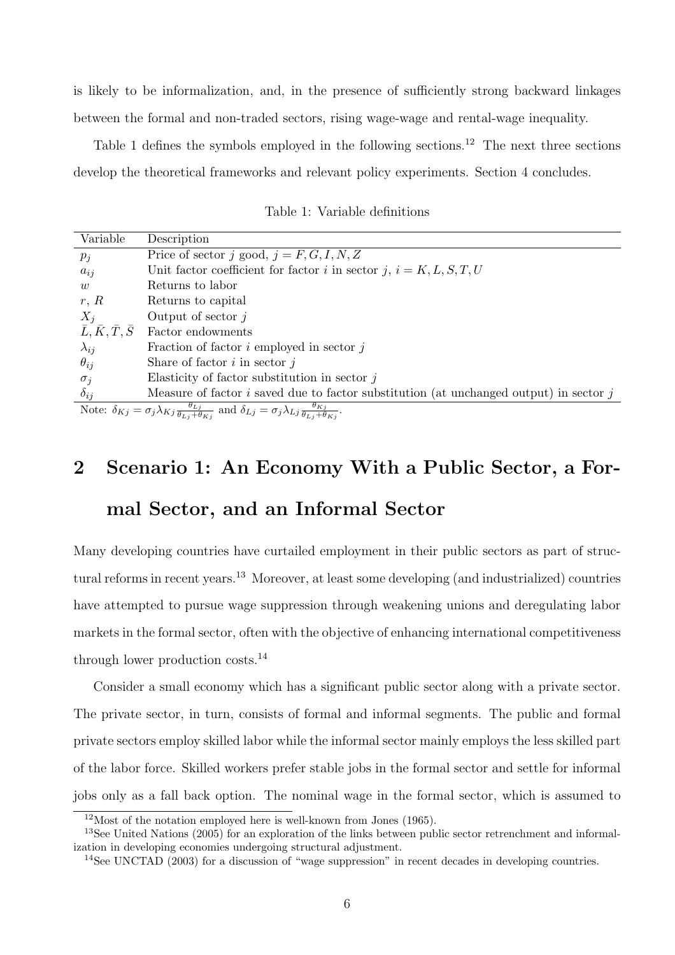is likely to be informalization, and, in the presence of sufficiently strong backward linkages between the formal and non-traded sectors, rising wage-wage and rental-wage inequality.

Table 1 defines the symbols employed in the following sections.<sup>12</sup> The next three sections develop the theoretical frameworks and relevant policy experiments. Section 4 concludes.

| Variable                                                                                                                                                                            | Description                                                                                |
|-------------------------------------------------------------------------------------------------------------------------------------------------------------------------------------|--------------------------------------------------------------------------------------------|
| $p_j$                                                                                                                                                                               | Price of sector j good, $j = F, G, I, N, Z$                                                |
| $a_{ij}$                                                                                                                                                                            | Unit factor coefficient for factor i in sector j, $i = K, L, S, T, U$                      |
| w                                                                                                                                                                                   | Returns to labor                                                                           |
| r, R                                                                                                                                                                                | Returns to capital                                                                         |
| $X_j$                                                                                                                                                                               | Output of sector $j$                                                                       |
| $\bar{L}, \bar{K}, \bar{T}, \bar{S}$                                                                                                                                                | Factor endowments                                                                          |
| $\lambda_{ij}$                                                                                                                                                                      | Fraction of factor $i$ employed in sector $j$                                              |
| $\theta_{ij}$                                                                                                                                                                       | Share of factor $i$ in sector $j$                                                          |
| $\sigma_j$                                                                                                                                                                          | Elasticity of factor substitution in sector $j$                                            |
| $\delta_{ij}$                                                                                                                                                                       | Measure of factor $i$ saved due to factor substitution (at unchanged output) in sector $j$ |
| Note: $\delta_{Kj} = \sigma_j \lambda_{Kj} \frac{\theta_{Lj}}{\theta_{Lj} + \theta_{Lj}}$ and $\delta_{Lj} = \sigma_j \lambda_{Lj} \frac{\theta_{Kj}}{\theta_{Lj} + \theta_{Lj}}$ . |                                                                                            |

Table 1: Variable definitions

Note:  $\delta_{Kj} = \sigma_j \lambda_{Kj} \frac{\theta_{Lj}}{\theta_{Lj} + \theta_{Kj}}$ and  $\delta_{Lj} = \sigma_j \lambda_{Lj} \frac{\theta_{Kj}}{\theta_{Lj} + \theta_{Kj}}$ 

## 2 Scenario 1: An Economy With a Public Sector, a For-

### mal Sector, and an Informal Sector

Many developing countries have curtailed employment in their public sectors as part of structural reforms in recent years.<sup>13</sup> Moreover, at least some developing (and industrialized) countries have attempted to pursue wage suppression through weakening unions and deregulating labor markets in the formal sector, often with the objective of enhancing international competitiveness through lower production costs.<sup>14</sup>

Consider a small economy which has a significant public sector along with a private sector. The private sector, in turn, consists of formal and informal segments. The public and formal private sectors employ skilled labor while the informal sector mainly employs the less skilled part of the labor force. Skilled workers prefer stable jobs in the formal sector and settle for informal jobs only as a fall back option. The nominal wage in the formal sector, which is assumed to

 $12$ Most of the notation employed here is well-known from Jones (1965).

<sup>&</sup>lt;sup>13</sup>See United Nations (2005) for an exploration of the links between public sector retrenchment and informalization in developing economies undergoing structural adjustment.

<sup>&</sup>lt;sup>14</sup>See UNCTAD (2003) for a discussion of "wage suppression" in recent decades in developing countries.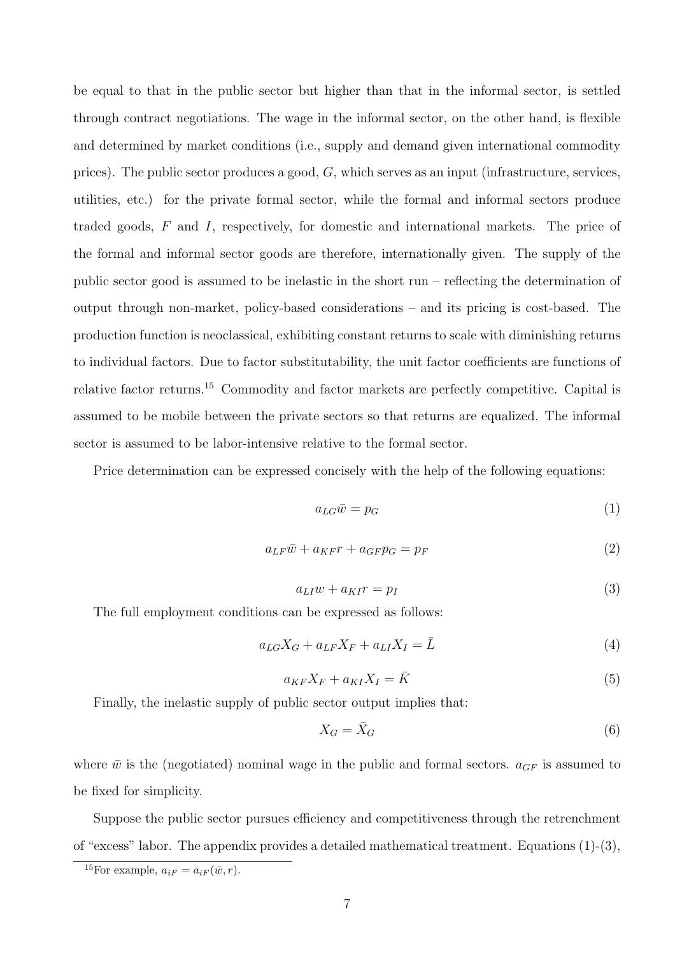be equal to that in the public sector but higher than that in the informal sector, is settled through contract negotiations. The wage in the informal sector, on the other hand, is flexible and determined by market conditions (i.e., supply and demand given international commodity prices). The public sector produces a good,  $G$ , which serves as an input (infrastructure, services, utilities, etc.) for the private formal sector, while the formal and informal sectors produce traded goods, F and I, respectively, for domestic and international markets. The price of the formal and informal sector goods are therefore, internationally given. The supply of the public sector good is assumed to be inelastic in the short run – reflecting the determination of output through non-market, policy-based considerations – and its pricing is cost-based. The production function is neoclassical, exhibiting constant returns to scale with diminishing returns to individual factors. Due to factor substitutability, the unit factor coefficients are functions of relative factor returns.<sup>15</sup> Commodity and factor markets are perfectly competitive. Capital is assumed to be mobile between the private sectors so that returns are equalized. The informal sector is assumed to be labor-intensive relative to the formal sector.

Price determination can be expressed concisely with the help of the following equations:

$$
a_{LG}\bar{w} = p_G \tag{1}
$$

$$
a_{LF}\bar{w} + a_{KF}r + a_{GF}p_G = p_F \tag{2}
$$

$$
a_{LI}w + a_{KI}r = p_I \tag{3}
$$

The full employment conditions can be expressed as follows:

$$
a_{LG}X_G + a_{LF}X_F + a_{LI}X_I = \bar{L}
$$
\n<sup>(4)</sup>

$$
a_{KF}X_F + a_{KI}X_I = \bar{K}
$$
\n<sup>(5)</sup>

Finally, the inelastic supply of public sector output implies that:

$$
X_G = \bar{X}_G \tag{6}
$$

where  $\bar{w}$  is the (negotiated) nominal wage in the public and formal sectors.  $a_{GF}$  is assumed to be fixed for simplicity.

Suppose the public sector pursues efficiency and competitiveness through the retrenchment of "excess" labor. The appendix provides a detailed mathematical treatment. Equations (1)-(3),

<sup>&</sup>lt;sup>15</sup>For example,  $a_{iF} = a_{iF}(\bar{w}, r)$ .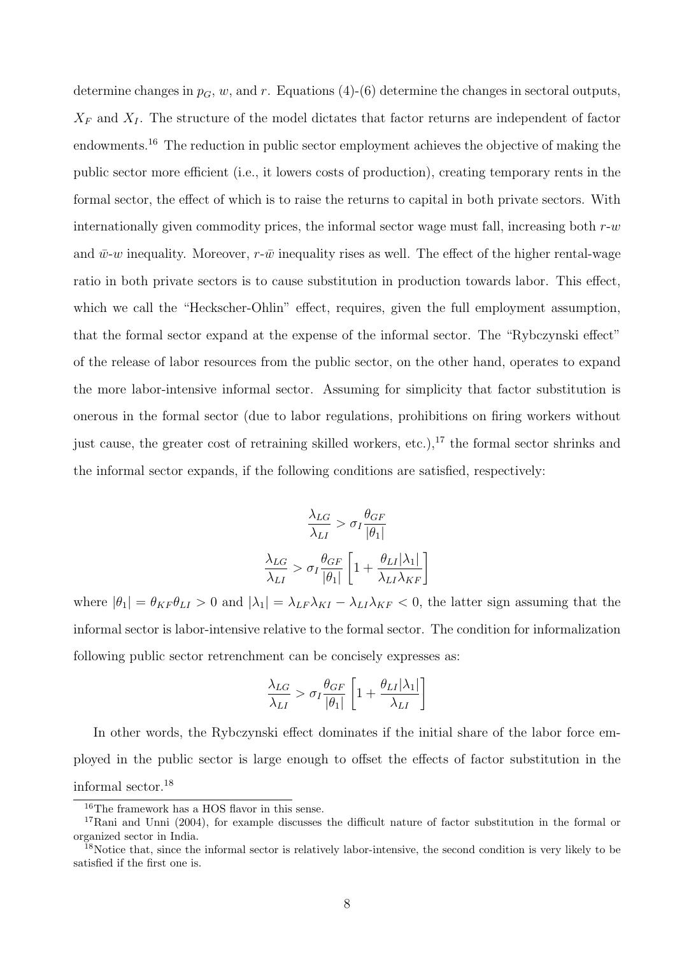determine changes in  $p_G$ , w, and r. Equations (4)-(6) determine the changes in sectoral outputs,  $X_F$  and  $X_I$ . The structure of the model dictates that factor returns are independent of factor endowments.<sup>16</sup> The reduction in public sector employment achieves the objective of making the public sector more efficient (i.e., it lowers costs of production), creating temporary rents in the formal sector, the effect of which is to raise the returns to capital in both private sectors. With internationally given commodity prices, the informal sector wage must fall, increasing both  $r-w$ and  $\bar{w}$ -w inequality. Moreover, r- $\bar{w}$  inequality rises as well. The effect of the higher rental-wage ratio in both private sectors is to cause substitution in production towards labor. This effect, which we call the "Heckscher-Ohlin" effect, requires, given the full employment assumption, that the formal sector expand at the expense of the informal sector. The "Rybczynski effect" of the release of labor resources from the public sector, on the other hand, operates to expand the more labor-intensive informal sector. Assuming for simplicity that factor substitution is onerous in the formal sector (due to labor regulations, prohibitions on firing workers without just cause, the greater cost of retraining skilled workers, etc.),<sup>17</sup> the formal sector shrinks and the informal sector expands, if the following conditions are satisfied, respectively:

$$
\frac{\lambda_{LG}}{\lambda_{LI}} > \sigma_I \frac{\theta_{GF}}{|\theta_1|}
$$

$$
\frac{\lambda_{LG}}{\lambda_{LI}} > \sigma_I \frac{\theta_{GF}}{|\theta_1|} \left[ 1 + \frac{\theta_{LI} |\lambda_1|}{\lambda_{LI} \lambda_{KF}} \right]
$$

where  $|\theta_1| = \theta_{KF} \theta_{LI} > 0$  and  $|\lambda_1| = \lambda_{LF} \lambda_{KI} - \lambda_{LI} \lambda_{KF} < 0$ , the latter sign assuming that the informal sector is labor-intensive relative to the formal sector. The condition for informalization following public sector retrenchment can be concisely expresses as:

$$
\frac{\lambda_{LG}}{\lambda_{LI}} > \sigma_I \frac{\theta_{GF}}{|\theta_1|} \left[1 + \frac{\theta_{LI} |\lambda_1|}{\lambda_{LI}} \right]
$$

In other words, the Rybczynski effect dominates if the initial share of the labor force employed in the public sector is large enough to offset the effects of factor substitution in the informal sector.<sup>18</sup>

 $^{16}{\rm The\ framework}$  has a HOS flavor in this sense.

<sup>17</sup>Rani and Unni (2004), for example discusses the difficult nature of factor substitution in the formal or organized sector in India.

 $18$ Notice that, since the informal sector is relatively labor-intensive, the second condition is very likely to be satisfied if the first one is.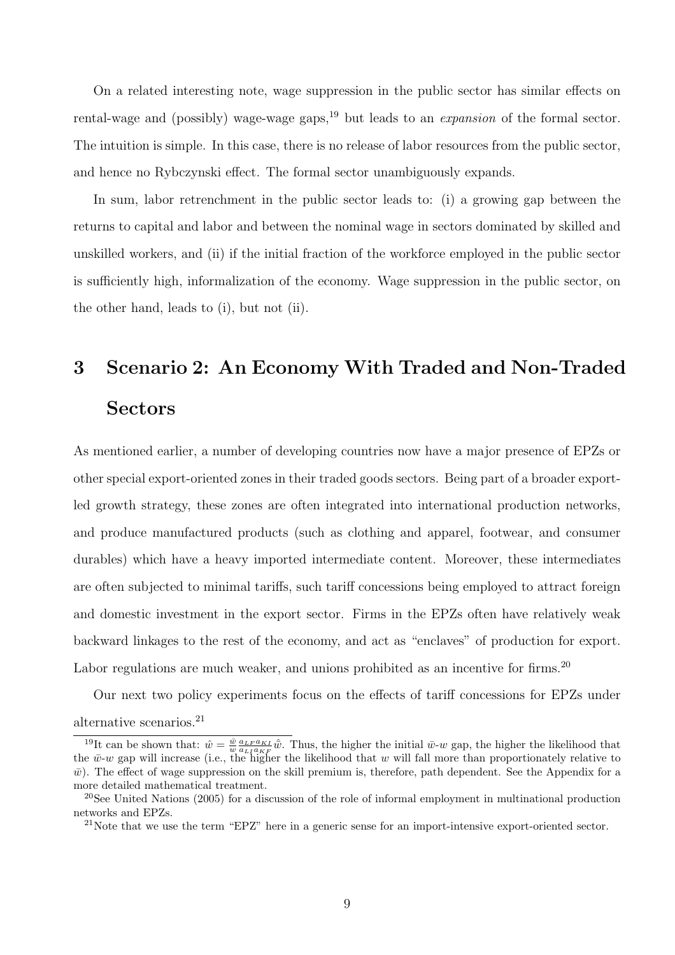On a related interesting note, wage suppression in the public sector has similar effects on rental-wage and (possibly) wage-wage gaps,<sup>19</sup> but leads to an *expansion* of the formal sector. The intuition is simple. In this case, there is no release of labor resources from the public sector, and hence no Rybczynski effect. The formal sector unambiguously expands.

In sum, labor retrenchment in the public sector leads to: (i) a growing gap between the returns to capital and labor and between the nominal wage in sectors dominated by skilled and unskilled workers, and (ii) if the initial fraction of the workforce employed in the public sector is sufficiently high, informalization of the economy. Wage suppression in the public sector, on the other hand, leads to (i), but not (ii).

## 3 Scenario 2: An Economy With Traded and Non-Traded Sectors

As mentioned earlier, a number of developing countries now have a major presence of EPZs or other special export-oriented zones in their traded goods sectors. Being part of a broader exportled growth strategy, these zones are often integrated into international production networks, and produce manufactured products (such as clothing and apparel, footwear, and consumer durables) which have a heavy imported intermediate content. Moreover, these intermediates are often subjected to minimal tariffs, such tariff concessions being employed to attract foreign and domestic investment in the export sector. Firms in the EPZs often have relatively weak backward linkages to the rest of the economy, and act as "enclaves" of production for export. Labor regulations are much weaker, and unions prohibited as an incentive for firms.<sup>20</sup>

Our next two policy experiments focus on the effects of tariff concessions for EPZs under alternative scenarios.<sup>21</sup>

<sup>&</sup>lt;sup>19</sup>It can be shown that:  $\hat{w} = \frac{\bar{w}}{w} \frac{a_L F a_{KL}}{a_L F a_{KL}} \hat{w}$ . Thus, the higher the initial  $\bar{w}$ -w gap, the higher the likelihood that It can be shown that.  $w = w a_{L1} a_{KF} w$ . Thus, the higher the linear  $w$ -w gap, the higher the likelihood that w will fall more than proportionately relative to  $\bar{w}$ ). The effect of wage suppression on the skill premium is, therefore, path dependent. See the Appendix for a more detailed mathematical treatment.

<sup>&</sup>lt;sup>20</sup>See United Nations (2005) for a discussion of the role of informal employment in multinational production networks and EPZs.

<sup>21</sup>Note that we use the term "EPZ" here in a generic sense for an import-intensive export-oriented sector.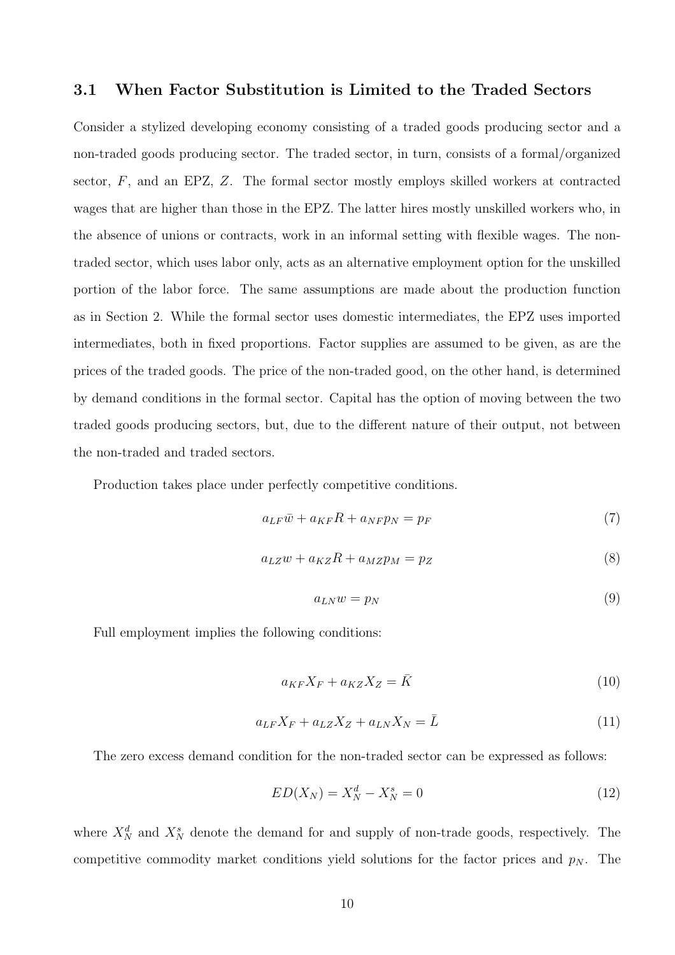#### 3.1 When Factor Substitution is Limited to the Traded Sectors

Consider a stylized developing economy consisting of a traded goods producing sector and a non-traded goods producing sector. The traded sector, in turn, consists of a formal/organized sector,  $F$ , and an EPZ,  $Z$ . The formal sector mostly employs skilled workers at contracted wages that are higher than those in the EPZ. The latter hires mostly unskilled workers who, in the absence of unions or contracts, work in an informal setting with flexible wages. The nontraded sector, which uses labor only, acts as an alternative employment option for the unskilled portion of the labor force. The same assumptions are made about the production function as in Section 2. While the formal sector uses domestic intermediates, the EPZ uses imported intermediates, both in fixed proportions. Factor supplies are assumed to be given, as are the prices of the traded goods. The price of the non-traded good, on the other hand, is determined by demand conditions in the formal sector. Capital has the option of moving between the two traded goods producing sectors, but, due to the different nature of their output, not between the non-traded and traded sectors.

Production takes place under perfectly competitive conditions.

$$
a_{LF}\bar{w} + a_{KF}R + a_{NF}p_N = p_F \tag{7}
$$

$$
a_{LZ}w + a_{KZ}R + a_{MZ}p_M = p_Z \tag{8}
$$

$$
a_{LN}w = p_N \tag{9}
$$

Full employment implies the following conditions:

$$
a_{KF}X_F + a_{KZ}X_Z = \bar{K}
$$
\n<sup>(10)</sup>

$$
a_{LF}X_F + a_{LZ}X_Z + a_{LN}X_N = \bar{L}
$$
\n<sup>(11)</sup>

The zero excess demand condition for the non-traded sector can be expressed as follows:

$$
ED(X_N) = X_N^d - X_N^s = 0\tag{12}
$$

where  $X_N^d$  and  $X_N^s$  denote the demand for and supply of non-trade goods, respectively. The competitive commodity market conditions yield solutions for the factor prices and  $p<sub>N</sub>$ . The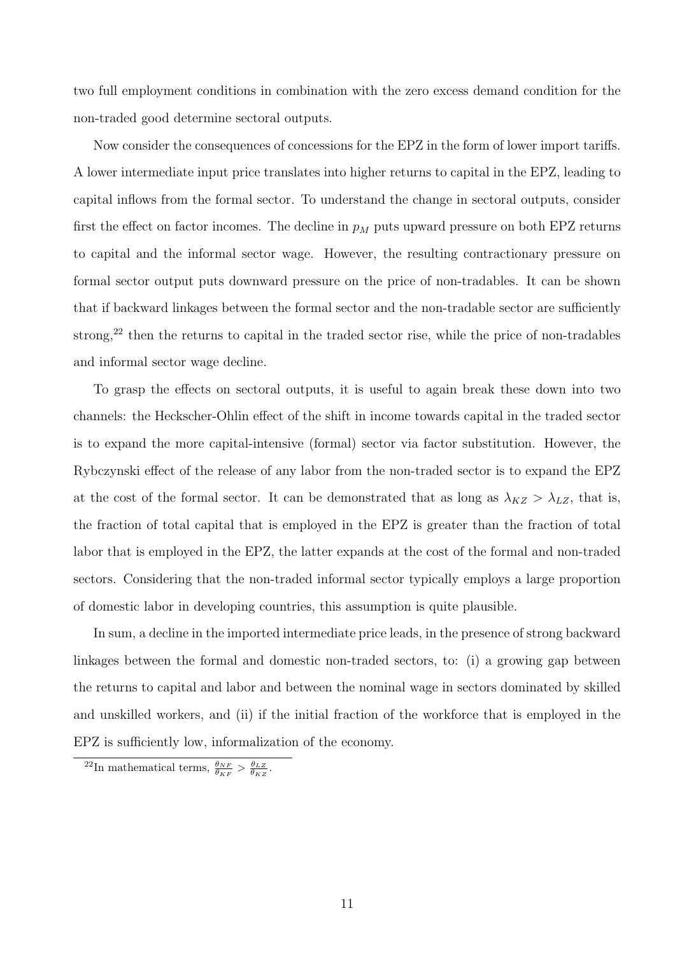two full employment conditions in combination with the zero excess demand condition for the non-traded good determine sectoral outputs.

Now consider the consequences of concessions for the EPZ in the form of lower import tariffs. A lower intermediate input price translates into higher returns to capital in the EPZ, leading to capital inflows from the formal sector. To understand the change in sectoral outputs, consider first the effect on factor incomes. The decline in  $p_M$  puts upward pressure on both EPZ returns to capital and the informal sector wage. However, the resulting contractionary pressure on formal sector output puts downward pressure on the price of non-tradables. It can be shown that if backward linkages between the formal sector and the non-tradable sector are sufficiently strong,<sup>22</sup> then the returns to capital in the traded sector rise, while the price of non-tradables and informal sector wage decline.

To grasp the effects on sectoral outputs, it is useful to again break these down into two channels: the Heckscher-Ohlin effect of the shift in income towards capital in the traded sector is to expand the more capital-intensive (formal) sector via factor substitution. However, the Rybczynski effect of the release of any labor from the non-traded sector is to expand the EPZ at the cost of the formal sector. It can be demonstrated that as long as  $\lambda_{KZ} > \lambda_{LZ}$ , that is, the fraction of total capital that is employed in the EPZ is greater than the fraction of total labor that is employed in the EPZ, the latter expands at the cost of the formal and non-traded sectors. Considering that the non-traded informal sector typically employs a large proportion of domestic labor in developing countries, this assumption is quite plausible.

In sum, a decline in the imported intermediate price leads, in the presence of strong backward linkages between the formal and domestic non-traded sectors, to: (i) a growing gap between the returns to capital and labor and between the nominal wage in sectors dominated by skilled and unskilled workers, and (ii) if the initial fraction of the workforce that is employed in the EPZ is sufficiently low, informalization of the economy.

<sup>&</sup>lt;sup>22</sup>In mathematical terms,  $\frac{\theta_{NF}}{\theta_{KF}} > \frac{\theta_{LZ}}{\theta_{KZ}}$ .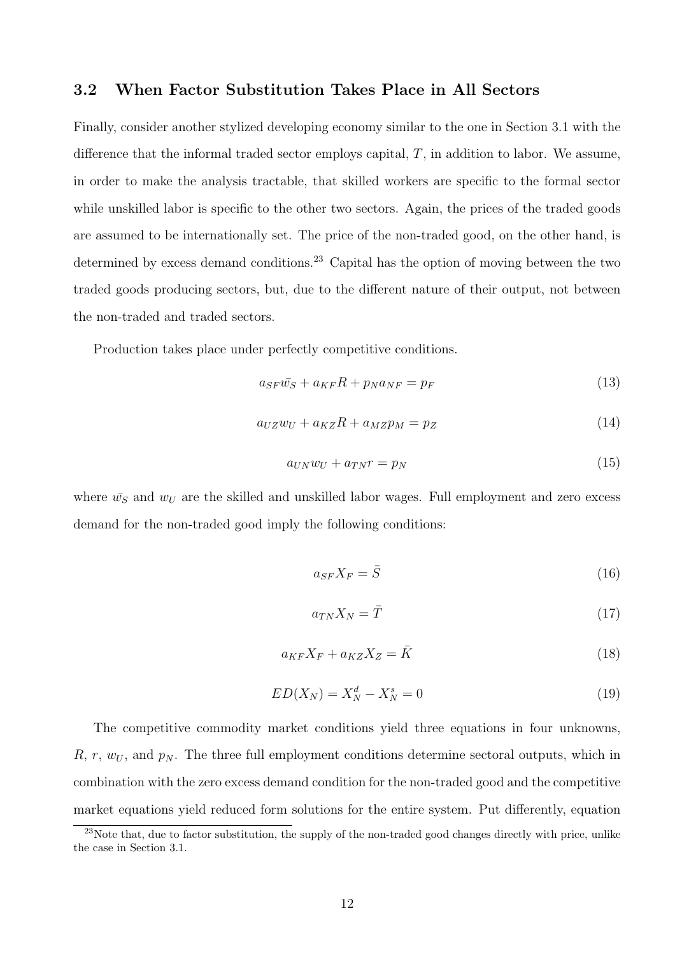#### 3.2 When Factor Substitution Takes Place in All Sectors

Finally, consider another stylized developing economy similar to the one in Section 3.1 with the difference that the informal traded sector employs capital,  $T$ , in addition to labor. We assume, in order to make the analysis tractable, that skilled workers are specific to the formal sector while unskilled labor is specific to the other two sectors. Again, the prices of the traded goods are assumed to be internationally set. The price of the non-traded good, on the other hand, is determined by excess demand conditions.<sup>23</sup> Capital has the option of moving between the two traded goods producing sectors, but, due to the different nature of their output, not between the non-traded and traded sectors.

Production takes place under perfectly competitive conditions.

$$
a_{SF}\bar{w}_S + a_{KF}R + p_N a_{NF} = p_F \tag{13}
$$

$$
a_{UZ}w_U + a_{KZ}R + a_{MZ}p_M = p_Z \tag{14}
$$

$$
a_{UN}w_U + a_{TN}r = p_N \tag{15}
$$

where  $\bar{w}_S$  and  $w_U$  are the skilled and unskilled labor wages. Full employment and zero excess demand for the non-traded good imply the following conditions:

$$
a_{SF}X_F = \bar{S}
$$
 (16)

$$
a_{TN}X_N = \bar{T} \tag{17}
$$

$$
a_{KF}X_F + a_{KZ}X_Z = \bar{K}
$$
\n<sup>(18)</sup>

$$
ED(X_N) = X_N^d - X_N^s = 0
$$
\n(19)

The competitive commodity market conditions yield three equations in four unknowns,  $R, r, w_U$ , and  $p_N$ . The three full employment conditions determine sectoral outputs, which in combination with the zero excess demand condition for the non-traded good and the competitive market equations yield reduced form solutions for the entire system. Put differently, equation

<sup>&</sup>lt;sup>23</sup>Note that, due to factor substitution, the supply of the non-traded good changes directly with price, unlike the case in Section 3.1.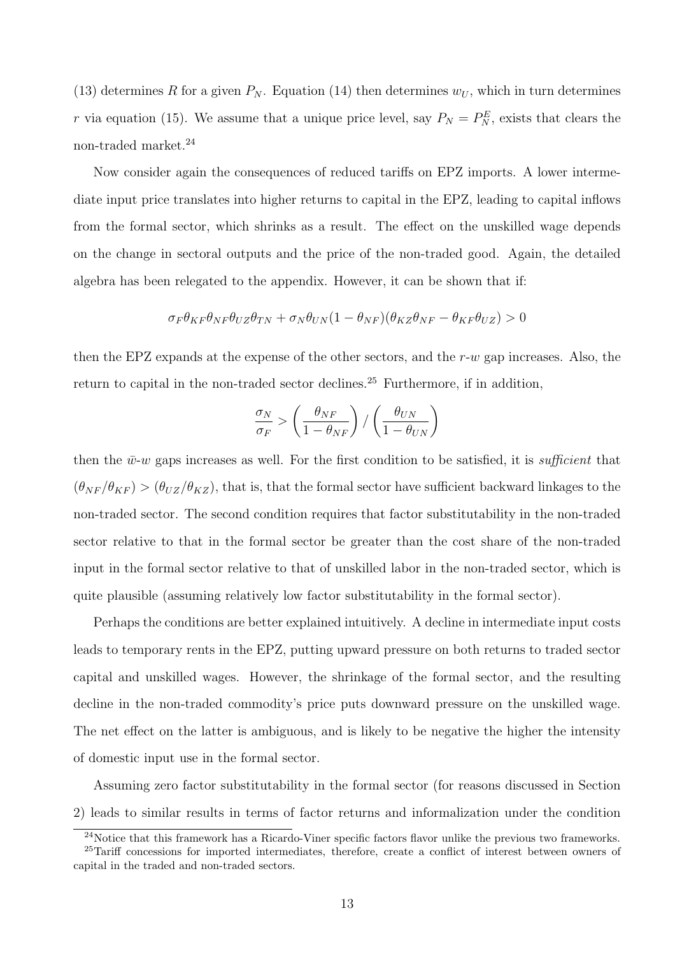(13) determines R for a given  $P_N$ . Equation (14) then determines  $w_U$ , which in turn determines r via equation (15). We assume that a unique price level, say  $P_N = P_N^E$ , exists that clears the non-traded market.<sup>24</sup>

Now consider again the consequences of reduced tariffs on EPZ imports. A lower intermediate input price translates into higher returns to capital in the EPZ, leading to capital inflows from the formal sector, which shrinks as a result. The effect on the unskilled wage depends on the change in sectoral outputs and the price of the non-traded good. Again, the detailed algebra has been relegated to the appendix. However, it can be shown that if:

$$
\sigma_F \theta_{KF} \theta_{NF} \theta_{UZ} \theta_{TN} + \sigma_N \theta_{UN} (1 - \theta_{NF}) (\theta_{KZ} \theta_{NF} - \theta_{KF} \theta_{UZ}) > 0
$$

then the EPZ expands at the expense of the other sectors, and the  $r-w$  gap increases. Also, the return to capital in the non-traded sector declines.<sup>25</sup> Furthermore, if in addition,

$$
\frac{\sigma_N}{\sigma_F} > \left(\frac{\theta_{NF}}{1-\theta_{NF}}\right) / \left(\frac{\theta_{UN}}{1-\theta_{UN}}\right)
$$

then the  $\bar{w}$ -w gaps increases as well. For the first condition to be satisfied, it is sufficient that  $(\theta_{NF}/\theta_{KF}) > (\theta_{UZ}/\theta_{KZ})$ , that is, that the formal sector have sufficient backward linkages to the non-traded sector. The second condition requires that factor substitutability in the non-traded sector relative to that in the formal sector be greater than the cost share of the non-traded input in the formal sector relative to that of unskilled labor in the non-traded sector, which is quite plausible (assuming relatively low factor substitutability in the formal sector).

Perhaps the conditions are better explained intuitively. A decline in intermediate input costs leads to temporary rents in the EPZ, putting upward pressure on both returns to traded sector capital and unskilled wages. However, the shrinkage of the formal sector, and the resulting decline in the non-traded commodity's price puts downward pressure on the unskilled wage. The net effect on the latter is ambiguous, and is likely to be negative the higher the intensity of domestic input use in the formal sector.

Assuming zero factor substitutability in the formal sector (for reasons discussed in Section 2) leads to similar results in terms of factor returns and informalization under the condition

 $^{24}$ Notice that this framework has a Ricardo-Viner specific factors flavor unlike the previous two frameworks.

<sup>&</sup>lt;sup>25</sup>Tariff concessions for imported intermediates, therefore, create a conflict of interest between owners of capital in the traded and non-traded sectors.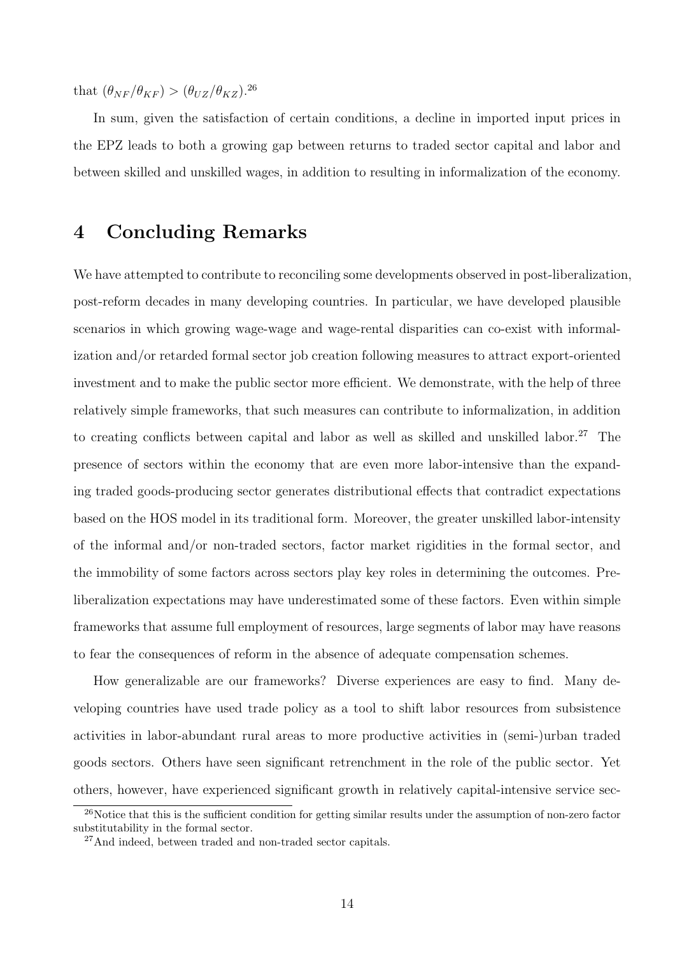that  $(\theta_{NF}/\theta_{KF}) > (\theta_{UZ}/\theta_{KZ})^{26}$ 

In sum, given the satisfaction of certain conditions, a decline in imported input prices in the EPZ leads to both a growing gap between returns to traded sector capital and labor and between skilled and unskilled wages, in addition to resulting in informalization of the economy.

### 4 Concluding Remarks

We have attempted to contribute to reconciling some developments observed in post-liberalization, post-reform decades in many developing countries. In particular, we have developed plausible scenarios in which growing wage-wage and wage-rental disparities can co-exist with informalization and/or retarded formal sector job creation following measures to attract export-oriented investment and to make the public sector more efficient. We demonstrate, with the help of three relatively simple frameworks, that such measures can contribute to informalization, in addition to creating conflicts between capital and labor as well as skilled and unskilled labor.<sup>27</sup> The presence of sectors within the economy that are even more labor-intensive than the expanding traded goods-producing sector generates distributional effects that contradict expectations based on the HOS model in its traditional form. Moreover, the greater unskilled labor-intensity of the informal and/or non-traded sectors, factor market rigidities in the formal sector, and the immobility of some factors across sectors play key roles in determining the outcomes. Preliberalization expectations may have underestimated some of these factors. Even within simple frameworks that assume full employment of resources, large segments of labor may have reasons to fear the consequences of reform in the absence of adequate compensation schemes.

How generalizable are our frameworks? Diverse experiences are easy to find. Many developing countries have used trade policy as a tool to shift labor resources from subsistence activities in labor-abundant rural areas to more productive activities in (semi-)urban traded goods sectors. Others have seen significant retrenchment in the role of the public sector. Yet others, however, have experienced significant growth in relatively capital-intensive service sec-

<sup>&</sup>lt;sup>26</sup>Notice that this is the sufficient condition for getting similar results under the assumption of non-zero factor substitutability in the formal sector.

<sup>&</sup>lt;sup>27</sup>And indeed, between traded and non-traded sector capitals.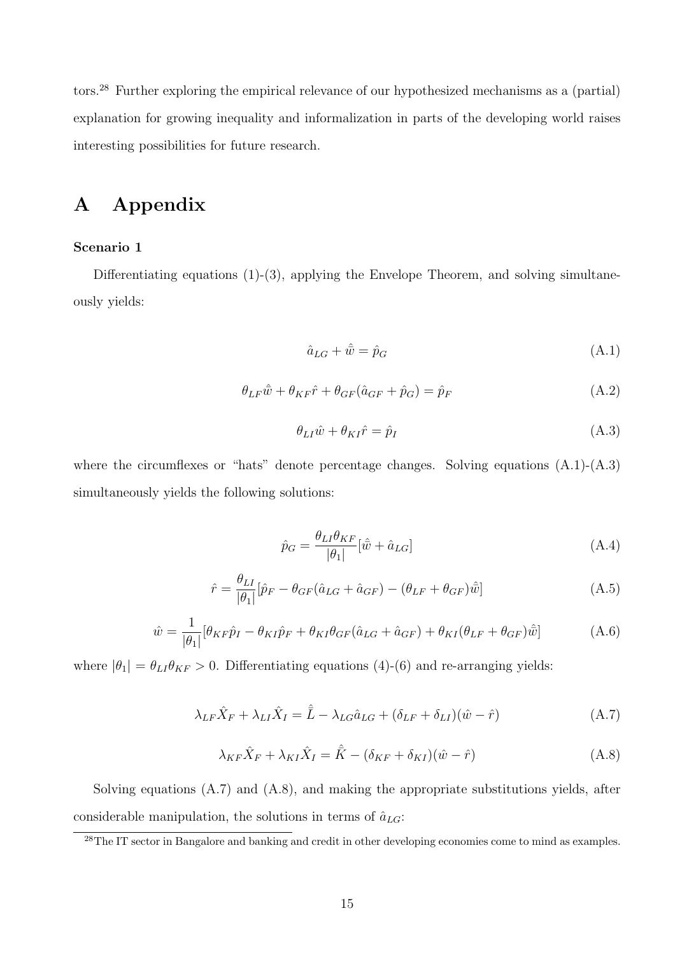tors.<sup>28</sup> Further exploring the empirical relevance of our hypothesized mechanisms as a (partial) explanation for growing inequality and informalization in parts of the developing world raises interesting possibilities for future research.

## A Appendix

#### Scenario 1

Differentiating equations (1)-(3), applying the Envelope Theorem, and solving simultaneously yields:

$$
\hat{a}_{LG} + \hat{\bar{w}} = \hat{p}_G \tag{A.1}
$$

$$
\theta_{LF}\hat{\bar{w}} + \theta_{KF}\hat{r} + \theta_{GF}(\hat{a}_{GF} + \hat{p}_G) = \hat{p}_F
$$
\n(A.2)

$$
\theta_{LI}\hat{w} + \theta_{KI}\hat{r} = \hat{p}_I \tag{A.3}
$$

where the circumflexes or "hats" denote percentage changes. Solving equations  $(A.1)-(A.3)$ simultaneously yields the following solutions:

$$
\hat{p}_G = \frac{\theta_{LI}\theta_{KF}}{|\theta_1|} [\hat{w} + \hat{a}_{LG}] \tag{A.4}
$$

$$
\hat{r} = \frac{\theta_{LI}}{|\theta_{I}|} [\hat{p}_{F} - \theta_{GF} (\hat{a}_{LG} + \hat{a}_{GF}) - (\theta_{LF} + \theta_{GF}) \hat{\bar{w}}]
$$
(A.5)

$$
\hat{w} = \frac{1}{|\theta_1|} [\theta_{KF}\hat{p}_I - \theta_{KI}\hat{p}_F + \theta_{KI}\theta_{GF}(\hat{a}_{LG} + \hat{a}_{GF}) + \theta_{KI}(\theta_{LF} + \theta_{GF})\hat{w}] \tag{A.6}
$$

where  $|\theta_1| = \theta_{LI} \theta_{KF} > 0$ . Differentiating equations (4)-(6) and re-arranging yields:

$$
\lambda_{LF}\hat{X}_F + \lambda_{LI}\hat{X}_I = \hat{\bar{L}} - \lambda_{LG}\hat{a}_{LG} + (\delta_{LF} + \delta_{LI})(\hat{w} - \hat{r})
$$
(A.7)

$$
\lambda_{KF}\hat{X}_F + \lambda_{KI}\hat{X}_I = \hat{\overline{K}} - (\delta_{KF} + \delta_{KI})(\hat{w} - \hat{r})
$$
\n(A.8)

Solving equations (A.7) and (A.8), and making the appropriate substitutions yields, after considerable manipulation, the solutions in terms of  $\hat{a}_{LG}$ :

<sup>&</sup>lt;sup>28</sup>The IT sector in Bangalore and banking and credit in other developing economies come to mind as examples.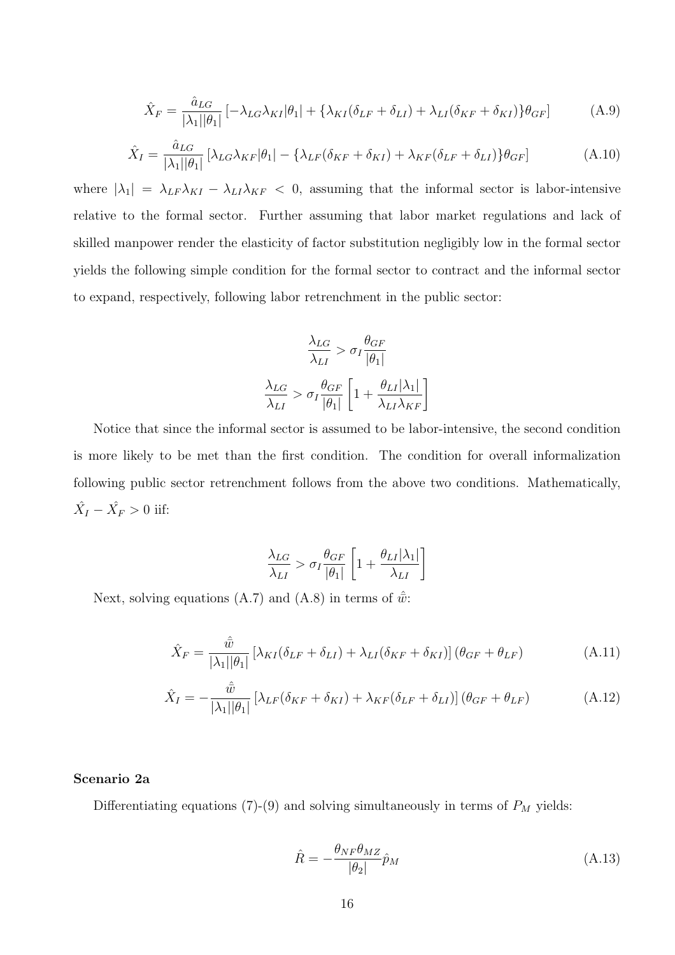$$
\hat{X}_F = \frac{\hat{a}_{LG}}{|\lambda_1||\theta_1|} \left[ -\lambda_{LG}\lambda_{KI}|\theta_1| + \left\{ \lambda_{KI}(\delta_{LF} + \delta_{LI}) + \lambda_{LI}(\delta_{KF} + \delta_{KI}) \right\} \theta_{GF} \right]
$$
(A.9)

$$
\hat{X}_I = \frac{\hat{a}_{LG}}{|\lambda_1||\theta_1|} [\lambda_{LG}\lambda_{KF}|\theta_1| - {\lambda_{LF}(\delta_{KF} + \delta_{KI}) + \lambda_{KF}(\delta_{LF} + \delta_{LI})}\theta_{GF}] \tag{A.10}
$$

where  $|\lambda_1| = \lambda_{LF} \lambda_{KI} - \lambda_{LI} \lambda_{KF} < 0$ , assuming that the informal sector is labor-intensive relative to the formal sector. Further assuming that labor market regulations and lack of skilled manpower render the elasticity of factor substitution negligibly low in the formal sector yields the following simple condition for the formal sector to contract and the informal sector to expand, respectively, following labor retrenchment in the public sector:

$$
\frac{\lambda_{LG}}{\lambda_{LI}} > \sigma_I \frac{\theta_{GF}}{|\theta_1|}
$$

$$
\frac{\lambda_{LG}}{\lambda_{LI}} > \sigma_I \frac{\theta_{GF}}{|\theta_1|} \left[ 1 + \frac{\theta_{LI} |\lambda_1|}{\lambda_{LI} \lambda_{KF}} \right]
$$

Notice that since the informal sector is assumed to be labor-intensive, the second condition is more likely to be met than the first condition. The condition for overall informalization following public sector retrenchment follows from the above two conditions. Mathematically,  $\hat{X}_I - \hat{X_F} > 0$  iif:

$$
\frac{\lambda_{LG}}{\lambda_{LI}} > \sigma_I \frac{\theta_{GF}}{|\theta_1|} \left[ 1 + \frac{\theta_{LI} |\lambda_1|}{\lambda_{LI}} \right]
$$

Next, solving equations (A.7) and (A.8) in terms of  $\hat{\vec{w}}$ :

$$
\hat{X}_F = \frac{\hat{\bar{w}}}{|\lambda_1||\theta_1|} \left[ \lambda_{KI} (\delta_{LF} + \delta_{LI}) + \lambda_{LI} (\delta_{KF} + \delta_{KI}) \right] (\theta_{GF} + \theta_{LF})
$$
\n(A.11)

$$
\hat{X}_I = -\frac{\hat{\bar{w}}}{|\lambda_1||\theta_1|} \left[\lambda_{LF}(\delta_{KF} + \delta_{KI}) + \lambda_{KF}(\delta_{LF} + \delta_{LI})\right] (\theta_{GF} + \theta_{LF})
$$
\n(A.12)

#### Scenario 2a

Differentiating equations (7)-(9) and solving simultaneously in terms of  $P_M$  yields:

$$
\hat{R} = -\frac{\theta_{NF}\theta_{MZ}}{|\theta_2|}\hat{p}_M\tag{A.13}
$$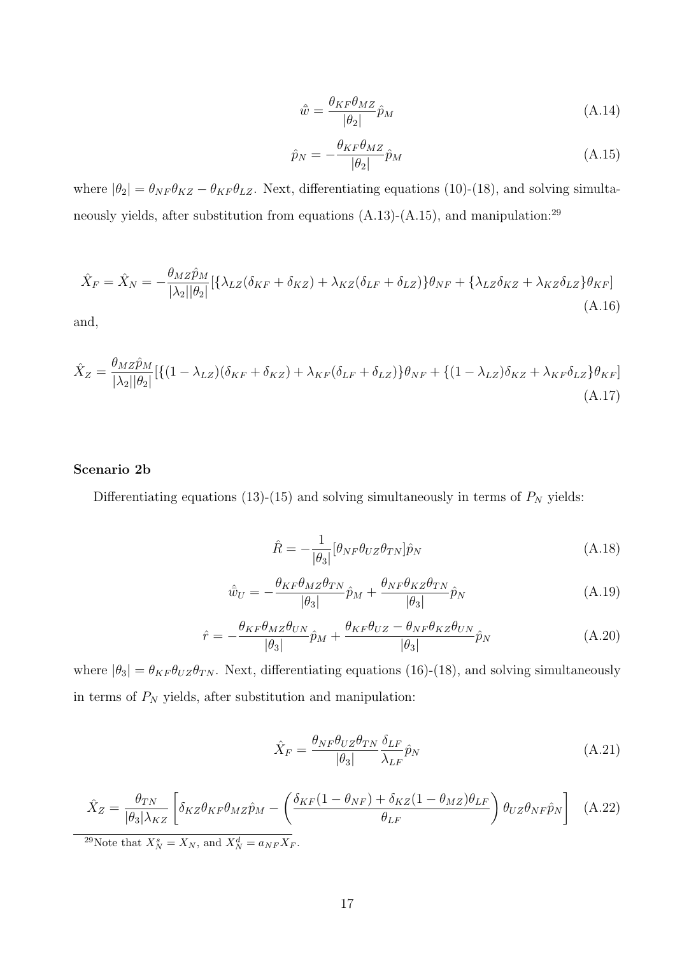$$
\hat{w} = \frac{\theta_{KF}\theta_{MZ}}{|\theta_2|}\hat{p}_M
$$
\n(A.14)

$$
\hat{p}_N = -\frac{\theta_{KF}\theta_{MZ}}{|\theta_2|}\hat{p}_M\tag{A.15}
$$

where  $|\theta_2| = \theta_{NF} \theta_{KZ} - \theta_{KF} \theta_{LZ}$ . Next, differentiating equations (10)-(18), and solving simultaneously yields, after substitution from equations (A.13)-(A.15), and manipulation:<sup>29</sup>

$$
\hat{X}_F = \hat{X}_N = -\frac{\theta_{MZ}\hat{p}_M}{|\lambda_2||\theta_2|} [\{\lambda_{LZ}(\delta_{KF} + \delta_{KZ}) + \lambda_{KZ}(\delta_{LF} + \delta_{LZ})\} \theta_{NF} + \{\lambda_{LZ}\delta_{KZ} + \lambda_{KZ}\delta_{LZ}\} \theta_{KF}]
$$
\n(A.16)

and,

$$
\hat{X}_Z = \frac{\theta_{MZ}\hat{p}_M}{|\lambda_2||\theta_2|} [\{(1 - \lambda_{LZ})(\delta_{KF} + \delta_{KZ}) + \lambda_{KF}(\delta_{LF} + \delta_{LZ})\}\theta_{NF} + \{(1 - \lambda_{LZ})\delta_{KZ} + \lambda_{KF}\delta_{LZ}\}\theta_{KF}]
$$
\n(A.17)

#### Scenario 2b

Differentiating equations (13)-(15) and solving simultaneously in terms of  $P_N$  yields:

$$
\hat{R} = -\frac{1}{|\theta_3|} [\theta_{NF} \theta_{UZ} \theta_{TN}] \hat{p}_N
$$
\n(A.18)

$$
\hat{w}_U = -\frac{\theta_{KF}\theta_{MZ}\theta_{TN}}{|\theta_3|}\hat{p}_M + \frac{\theta_{NF}\theta_{KZ}\theta_{TN}}{|\theta_3|}\hat{p}_N
$$
\n(A.19)

$$
\hat{r} = -\frac{\theta_{KF}\theta_{MZ}\theta_{UN}}{|\theta_3|}\hat{p}_M + \frac{\theta_{KF}\theta_{UZ} - \theta_{NF}\theta_{KZ}\theta_{UN}}{|\theta_3|}\hat{p}_N
$$
\n(A.20)

where  $|\theta_3| = \theta_{KF} \theta_{UZ} \theta_{TN}$ . Next, differentiating equations (16)-(18), and solving simultaneously in terms of  $P_N$  yields, after substitution and manipulation:

$$
\hat{X}_F = \frac{\theta_{NF}\theta_{UZ}\theta_{TN}}{|\theta_3|} \frac{\delta_{LF}}{\lambda_{LF}} \hat{p}_N
$$
\n(A.21)

$$
\hat{X}_Z = \frac{\theta_{TN}}{|\theta_3|\lambda_{KZ}} \left[ \delta_{KZ}\theta_{KF}\theta_{MZ}\hat{p}_M - \left( \frac{\delta_{KF}(1-\theta_{NF}) + \delta_{KZ}(1-\theta_{MZ})\theta_{LF}}{\theta_{LF}} \right) \theta_{UZ}\theta_{NF}\hat{p}_N \right]
$$
(A.22)

<sup>29</sup>Note that  $X_N^s = X_N$ , and  $X_N^d = a_{NF}X_F$ .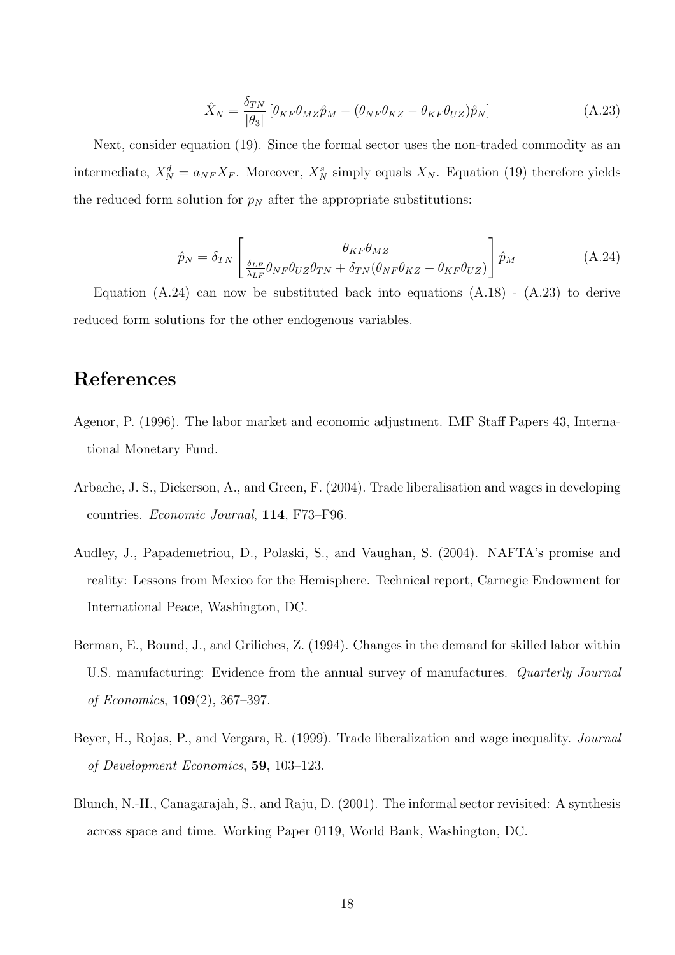$$
\hat{X}_N = \frac{\delta_{TN}}{|\theta_3|} \left[ \theta_{KF} \theta_{MZ} \hat{p}_M - (\theta_{NF} \theta_{KZ} - \theta_{KF} \theta_{UZ}) \hat{p}_N \right]
$$
(A.23)

Next, consider equation (19). Since the formal sector uses the non-traded commodity as an intermediate,  $X_N^d = a_{NF} X_F$ . Moreover,  $X_N^s$  simply equals  $X_N$ . Equation (19) therefore yields the reduced form solution for  $p<sub>N</sub>$  after the appropriate substitutions:

$$
\hat{p}_N = \delta_{TN} \left[ \frac{\theta_{KF} \theta_{MZ}}{\frac{\delta_{LF}}{\lambda_{LF}} \theta_{NF} \theta_{UZ} \theta_{TN} + \delta_{TN} (\theta_{NF} \theta_{KZ} - \theta_{KF} \theta_{UZ})} \right] \hat{p}_M \tag{A.24}
$$

Equation  $(A.24)$  can now be substituted back into equations  $(A.18)$  -  $(A.23)$  to derive reduced form solutions for the other endogenous variables.

### References

- Agenor, P. (1996). The labor market and economic adjustment. IMF Staff Papers 43, International Monetary Fund.
- Arbache, J. S., Dickerson, A., and Green, F. (2004). Trade liberalisation and wages in developing countries. Economic Journal, 114, F73–F96.
- Audley, J., Papademetriou, D., Polaski, S., and Vaughan, S. (2004). NAFTA's promise and reality: Lessons from Mexico for the Hemisphere. Technical report, Carnegie Endowment for International Peace, Washington, DC.
- Berman, E., Bound, J., and Griliches, Z. (1994). Changes in the demand for skilled labor within U.S. manufacturing: Evidence from the annual survey of manufactures. *Quarterly Journal* of Economics, 109(2), 367–397.
- Beyer, H., Rojas, P., and Vergara, R. (1999). Trade liberalization and wage inequality. Journal of Development Economics, 59, 103–123.
- Blunch, N.-H., Canagarajah, S., and Raju, D. (2001). The informal sector revisited: A synthesis across space and time. Working Paper 0119, World Bank, Washington, DC.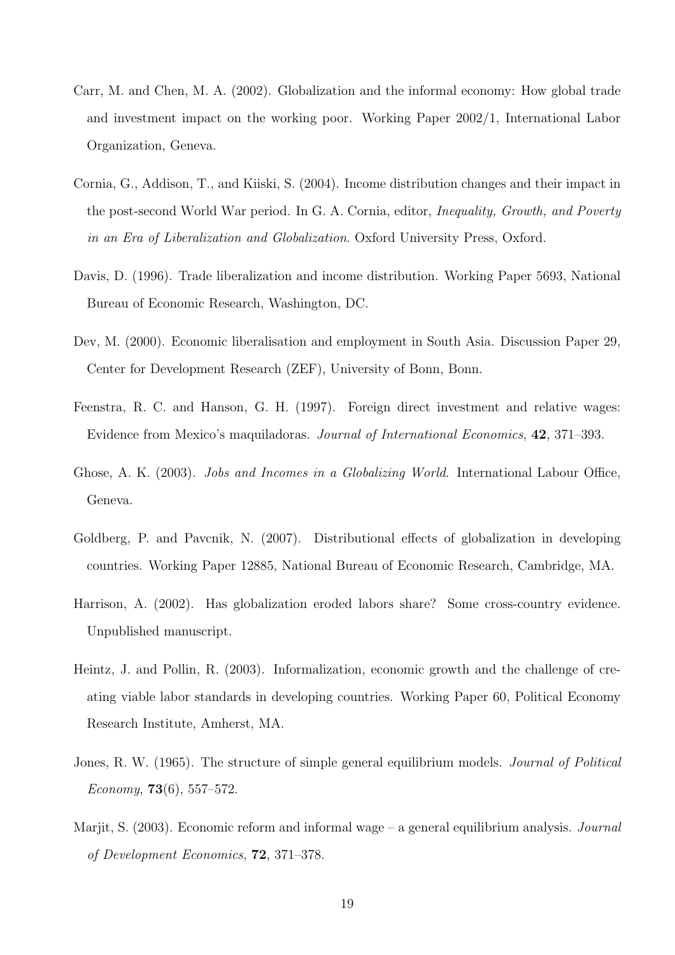- Carr, M. and Chen, M. A. (2002). Globalization and the informal economy: How global trade and investment impact on the working poor. Working Paper 2002/1, International Labor Organization, Geneva.
- Cornia, G., Addison, T., and Kiiski, S. (2004). Income distribution changes and their impact in the post-second World War period. In G. A. Cornia, editor, Inequality, Growth, and Poverty in an Era of Liberalization and Globalization. Oxford University Press, Oxford.
- Davis, D. (1996). Trade liberalization and income distribution. Working Paper 5693, National Bureau of Economic Research, Washington, DC.
- Dev, M. (2000). Economic liberalisation and employment in South Asia. Discussion Paper 29, Center for Development Research (ZEF), University of Bonn, Bonn.
- Feenstra, R. C. and Hanson, G. H. (1997). Foreign direct investment and relative wages: Evidence from Mexico's maquiladoras. Journal of International Economics, 42, 371–393.
- Ghose, A. K. (2003). *Jobs and Incomes in a Globalizing World*. International Labour Office, Geneva.
- Goldberg, P. and Pavcnik, N. (2007). Distributional effects of globalization in developing countries. Working Paper 12885, National Bureau of Economic Research, Cambridge, MA.
- Harrison, A. (2002). Has globalization eroded labors share? Some cross-country evidence. Unpublished manuscript.
- Heintz, J. and Pollin, R. (2003). Informalization, economic growth and the challenge of creating viable labor standards in developing countries. Working Paper 60, Political Economy Research Institute, Amherst, MA.
- Jones, R. W. (1965). The structure of simple general equilibrium models. Journal of Political  $E_{\text{conomu}}$ , **73**(6), 557–572.
- Marjit, S.  $(2003)$ . Economic reform and informal wage a general equilibrium analysis. *Journal* of Development Economics, 72, 371–378.